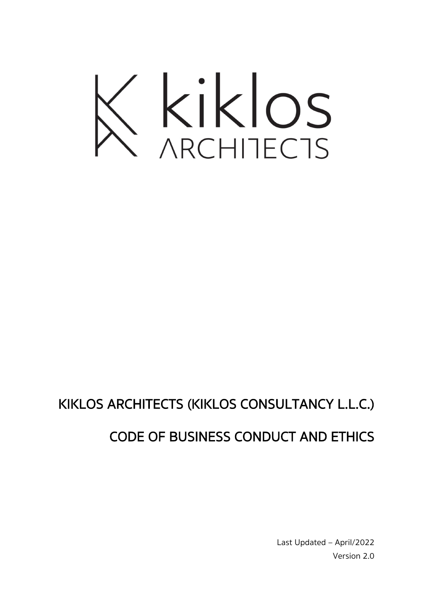

# KIKLOS ARCHITECTS (KIKLOS CONSULTANCY L.L.C.)

## CODE OF BUSINESS CONDUCT AND ETHICS

Last Updated – April/2022 Version 2.0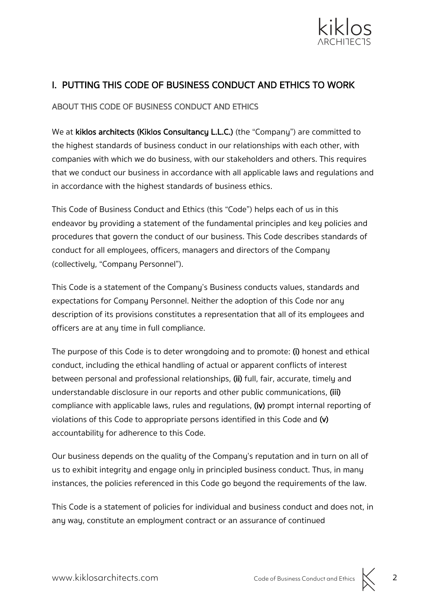

### I. PUTTING THIS CODE OF BUSINESS CONDUCT AND ETHICS TO WORK

ABOUT THIS CODE OF BUSINESS CONDUCT AND ETHICS

We at kiklos architects (Kiklos Consultancy L.L.C.) (the "Company") are committed to the highest standards of business conduct in our relationships with each other, with companies with which we do business, with our stakeholders and others. This requires that we conduct our business in accordance with all applicable laws and regulations and in accordance with the highest standards of business ethics.

This Code of Business Conduct and Ethics (this "Code") helps each of us in this endeavor by providing a statement of the fundamental principles and key policies and procedures that govern the conduct of our business. This Code describes standards of conduct for all employees, officers, managers and directors of the Company (collectively, "Company Personnel").

This Code is a statement of the Company's Business conducts values, standards and expectations for Company Personnel. Neither the adoption of this Code nor any description of its provisions constitutes a representation that all of its employees and officers are at any time in full compliance.

The purpose of this Code is to deter wrongdoing and to promote: (i) honest and ethical conduct, including the ethical handling of actual or apparent conflicts of interest between personal and professional relationships, (ii) full, fair, accurate, timely and understandable disclosure in our reports and other public communications, (iii) compliance with applicable laws, rules and regulations, (iv) prompt internal reporting of violations of this Code to appropriate persons identified in this Code and (v) accountability for adherence to this Code.

Our business depends on the quality of the Company's reputation and in turn on all of us to exhibit integrity and engage only in principled business conduct. Thus, in many instances, the policies referenced in this Code go beyond the requirements of the law.

This Code is a statement of policies for individual and business conduct and does not, in any way, constitute an employment contract or an assurance of continued

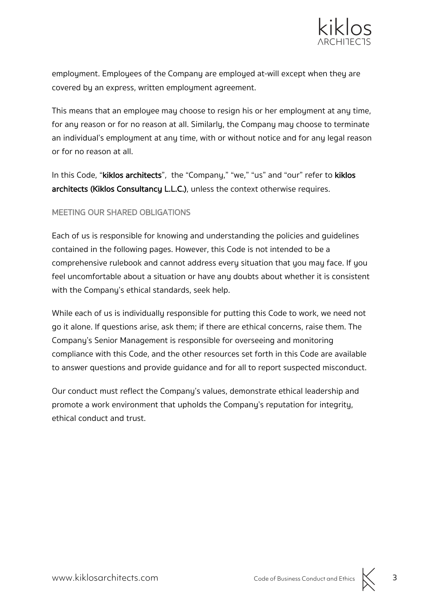

employment. Employees of the Company are employed at-will except when they are covered by an express, written employment agreement.

This means that an employee may choose to resign his or her employment at any time, for any reason or for no reason at all. Similarly, the Company may choose to terminate an individual's employment at any time, with or without notice and for any legal reason or for no reason at all.

In this Code, "kiklos architects", the "Company," "we," "us" and "our" refer to kiklos architects (Kiklos Consultancy L.L.C.), unless the context otherwise requires.

#### MEETING OUR SHARED OBLIGATIONS

Each of us is responsible for knowing and understanding the policies and guidelines contained in the following pages. However, this Code is not intended to be a comprehensive rulebook and cannot address every situation that you may face. If you feel uncomfortable about a situation or have any doubts about whether it is consistent with the Company's ethical standards, seek help.

While each of us is individually responsible for putting this Code to work, we need not go it alone. If questions arise, ask them; if there are ethical concerns, raise them. The Company's Senior Management is responsible for overseeing and monitoring compliance with this Code, and the other resources set forth in this Code are available to answer questions and provide guidance and for all to report suspected misconduct.

Our conduct must reflect the Company's values, demonstrate ethical leadership and promote a work environment that upholds the Company's reputation for integrity, ethical conduct and trust.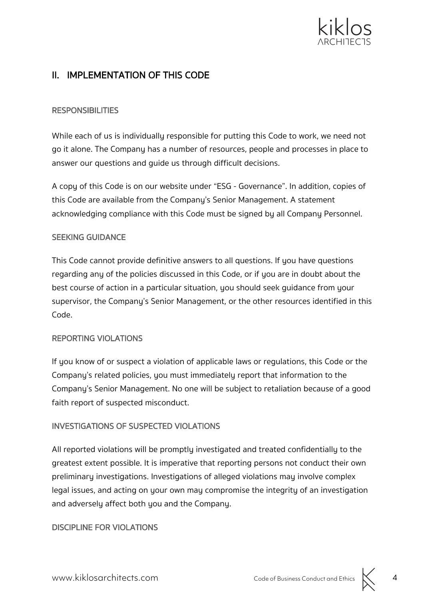

### II. IMPLEMENTATION OF THIS CODE

#### **RESPONSIBILITIES**

While each of us is individually responsible for putting this Code to work, we need not go it alone. The Company has a number of resources, people and processes in place to answer our questions and guide us through difficult decisions.

A copy of this Code is on our website under "ESG - Governance". In addition, copies of this Code are available from the Company's Senior Management. A statement acknowledging compliance with this Code must be signed by all Company Personnel.

#### SEEKING GUIDANCE

This Code cannot provide definitive answers to all questions. If you have questions regarding any of the policies discussed in this Code, or if you are in doubt about the best course of action in a particular situation, you should seek guidance from your supervisor, the Company's Senior Management, or the other resources identified in this Code.

#### REPORTING VIOLATIONS

If you know of or suspect a violation of applicable laws or regulations, this Code or the Company's related policies, you must immediately report that information to the Company's Senior Management. No one will be subject to retaliation because of a good faith report of suspected misconduct.

#### INVESTIGATIONS OF SUSPECTED VIOLATIONS

All reported violations will be promptly investigated and treated confidentially to the greatest extent possible. It is imperative that reporting persons not conduct their own preliminary investigations. Investigations of alleged violations may involve complex legal issues, and acting on your own may compromise the integrity of an investigation and adversely affect both you and the Company.

#### DISCIPLINE FOR VIOLATIONS

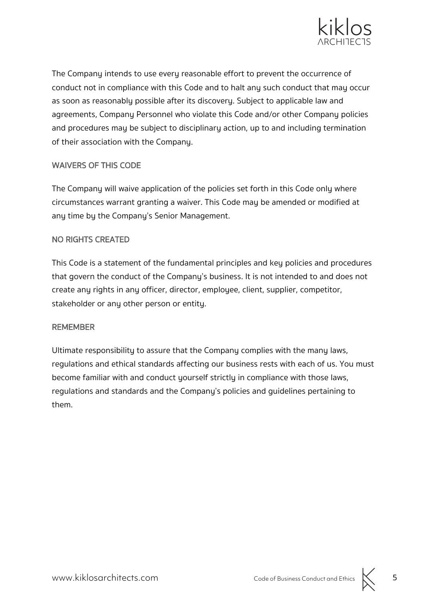

The Company intends to use every reasonable effort to prevent the occurrence of conduct not in compliance with this Code and to halt any such conduct that may occur as soon as reasonably possible after its discovery. Subject to applicable law and agreements, Company Personnel who violate this Code and/or other Company policies and procedures may be subject to disciplinary action, up to and including termination of their association with the Company.

#### WAIVERS OF THIS CODE

The Company will waive application of the policies set forth in this Code only where circumstances warrant granting a waiver. This Code may be amended or modified at any time by the Company's Senior Management.

#### NO RIGHTS CREATED

This Code is a statement of the fundamental principles and key policies and procedures that govern the conduct of the Company's business. It is not intended to and does not create any rights in any officer, director, employee, client, supplier, competitor, stakeholder or any other person or entity.

#### REMEMBER

Ultimate responsibility to assure that the Company complies with the many laws, regulations and ethical standards affecting our business rests with each of us. You must become familiar with and conduct yourself strictly in compliance with those laws, regulations and standards and the Company's policies and guidelines pertaining to them.

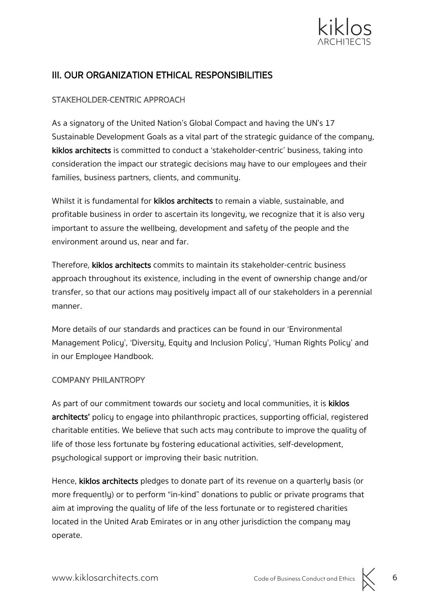

### III. OUR ORGANIZATION ETHICAL RESPONSIBILITIES

#### STAKEHOLDER-CENTRIC APPROACH

As a signatory of the United Nation's Global Compact and having the UN's 17 Sustainable Development Goals as a vital part of the strategic guidance of the company, kiklos architects is committed to conduct a 'stakeholder-centric' business, taking into consideration the impact our strategic decisions may have to our employees and their families, business partners, clients, and community.

Whilst it is fundamental for **kiklos architects** to remain a viable, sustainable, and profitable business in order to ascertain its longevity, we recognize that it is also very important to assure the wellbeing, development and safety of the people and the environment around us, near and far.

Therefore, kiklos architects commits to maintain its stakeholder-centric business approach throughout its existence, including in the event of ownership change and/or transfer, so that our actions may positively impact all of our stakeholders in a perennial manner.

More details of our standards and practices can be found in our 'Environmental Management Policy', 'Diversity, Equity and Inclusion Policy', 'Human Rights Policy' and in our Employee Handbook.

#### COMPANY PHILANTROPY

As part of our commitment towards our society and local communities, it is kiklos architects' policy to engage into philanthropic practices, supporting official, registered charitable entities. We believe that such acts may contribute to improve the quality of life of those less fortunate by fostering educational activities, self-development, psychological support or improving their basic nutrition.

Hence, kiklos architects pledges to donate part of its revenue on a quarterly basis (or more frequently) or to perform "in-kind" donations to public or private programs that aim at improving the quality of life of the less fortunate or to registered charities located in the United Arab Emirates or in any other jurisdiction the company may operate.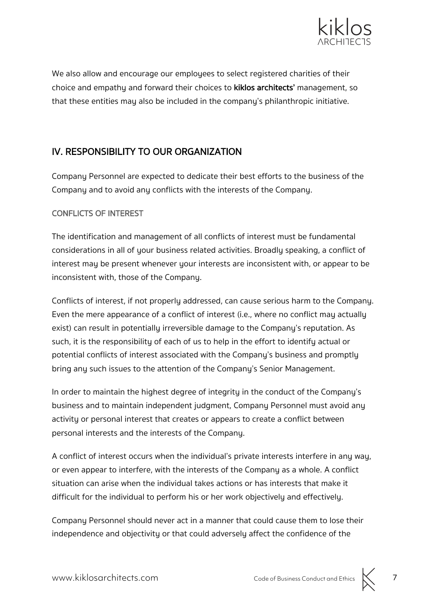

We also allow and encourage our employees to select registered charities of their choice and empathy and forward their choices to kiklos architects' management, so that these entities may also be included in the company's philanthropic initiative.

### IV. RESPONSIBILITY TO OUR ORGANIZATION

Company Personnel are expected to dedicate their best efforts to the business of the Company and to avoid any conflicts with the interests of the Company.

#### CONFLICTS OF INTEREST

The identification and management of all conflicts of interest must be fundamental considerations in all of your business related activities. Broadly speaking, a conflict of interest may be present whenever your interests are inconsistent with, or appear to be inconsistent with, those of the Company.

Conflicts of interest, if not properly addressed, can cause serious harm to the Company. Even the mere appearance of a conflict of interest (i.e., where no conflict may actually exist) can result in potentially irreversible damage to the Company's reputation. As such, it is the responsibility of each of us to help in the effort to identify actual or potential conflicts of interest associated with the Company's business and promptly bring any such issues to the attention of the Company's Senior Management.

In order to maintain the highest degree of integrity in the conduct of the Company's business and to maintain independent judgment, Company Personnel must avoid any activity or personal interest that creates or appears to create a conflict between personal interests and the interests of the Company.

A conflict of interest occurs when the individual's private interests interfere in any way, or even appear to interfere, with the interests of the Company as a whole. A conflict situation can arise when the individual takes actions or has interests that make it difficult for the individual to perform his or her work objectively and effectively.

Company Personnel should never act in a manner that could cause them to lose their independence and objectivity or that could adversely affect the confidence of the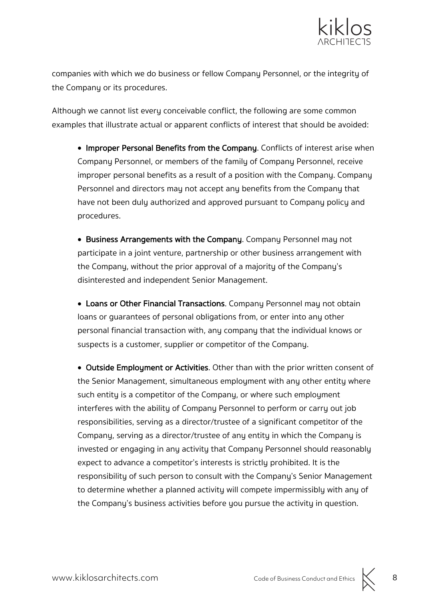

companies with which we do business or fellow Company Personnel, or the integrity of the Company or its procedures.

Although we cannot list every conceivable conflict, the following are some common examples that illustrate actual or apparent conflicts of interest that should be avoided:

• Improper Personal Benefits from the Company. Conflicts of interest arise when Company Personnel, or members of the family of Company Personnel, receive improper personal benefits as a result of a position with the Company. Company Personnel and directors may not accept any benefits from the Company that have not been duly authorized and approved pursuant to Company policy and procedures.

• Business Arrangements with the Company. Company Personnel may not participate in a joint venture, partnership or other business arrangement with the Company, without the prior approval of a majority of the Company's disinterested and independent Senior Management.

• Loans or Other Financial Transactions. Company Personnel may not obtain loans or guarantees of personal obligations from, or enter into any other personal financial transaction with, any company that the individual knows or suspects is a customer, supplier or competitor of the Company.

• Outside Employment or Activities. Other than with the prior written consent of the Senior Management, simultaneous employment with any other entity where such entity is a competitor of the Company, or where such employment interferes with the ability of Company Personnel to perform or carry out job responsibilities, serving as a director/trustee of a significant competitor of the Company, serving as a director/trustee of any entity in which the Company is invested or engaging in any activity that Company Personnel should reasonably expect to advance a competitor's interests is strictly prohibited. It is the responsibility of such person to consult with the Company's Senior Management to determine whether a planned activity will compete impermissibly with any of the Company's business activities before you pursue the activity in question.

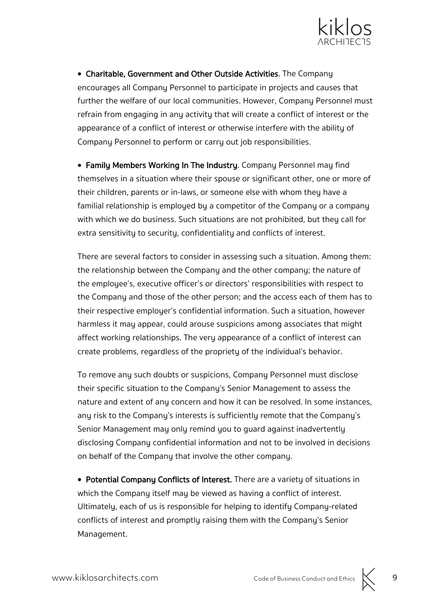

• Charitable, Government and Other Outside Activities. The Company encourages all Company Personnel to participate in projects and causes that further the welfare of our local communities. However, Company Personnel must refrain from engaging in any activity that will create a conflict of interest or the appearance of a conflict of interest or otherwise interfere with the ability of Company Personnel to perform or carry out job responsibilities.

• Family Members Working In The Industry. Company Personnel may find themselves in a situation where their spouse or significant other, one or more of their children, parents or in-laws, or someone else with whom they have a familial relationship is employed by a competitor of the Company or a company with which we do business. Such situations are not prohibited, but they call for extra sensitivity to security, confidentiality and conflicts of interest.

There are several factors to consider in assessing such a situation. Among them: the relationship between the Company and the other company; the nature of the employee's, executive officer's or directors' responsibilities with respect to the Company and those of the other person; and the access each of them has to their respective employer's confidential information. Such a situation, however harmless it may appear, could arouse suspicions among associates that might affect working relationships. The very appearance of a conflict of interest can create problems, regardless of the propriety of the individual's behavior.

To remove any such doubts or suspicions, Company Personnel must disclose their specific situation to the Company's Senior Management to assess the nature and extent of any concern and how it can be resolved. In some instances, any risk to the Company's interests is sufficiently remote that the Company's Senior Management may only remind you to guard against inadvertently disclosing Company confidential information and not to be involved in decisions on behalf of the Company that involve the other company.

• Potential Company Conflicts of Interest. There are a variety of situations in which the Company itself may be viewed as having a conflict of interest. Ultimately, each of us is responsible for helping to identify Company-related conflicts of interest and promptly raising them with the Company's Senior Management.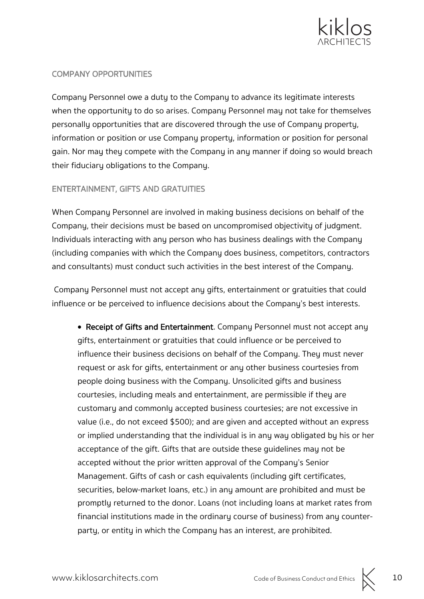

#### COMPANY OPPORTUNITIES

Company Personnel owe a duty to the Company to advance its legitimate interests when the opportunity to do so arises. Company Personnel may not take for themselves personally opportunities that are discovered through the use of Company property, information or position or use Company property, information or position for personal gain. Nor may they compete with the Company in any manner if doing so would breach their fiduciary obligations to the Company.

#### ENTERTAINMENT, GIFTS AND GRATUITIES

When Company Personnel are involved in making business decisions on behalf of the Company, their decisions must be based on uncompromised objectivity of judgment. Individuals interacting with any person who has business dealings with the Company (including companies with which the Company does business, competitors, contractors and consultants) must conduct such activities in the best interest of the Company.

Company Personnel must not accept any gifts, entertainment or gratuities that could influence or be perceived to influence decisions about the Company's best interests.

• Receipt of Gifts and Entertainment. Company Personnel must not accept any gifts, entertainment or gratuities that could influence or be perceived to influence their business decisions on behalf of the Company. They must never request or ask for gifts, entertainment or any other business courtesies from people doing business with the Company. Unsolicited gifts and business courtesies, including meals and entertainment, are permissible if they are customary and commonly accepted business courtesies; are not excessive in value (i.e., do not exceed \$500); and are given and accepted without an express or implied understanding that the individual is in any way obligated by his or her acceptance of the gift. Gifts that are outside these guidelines may not be accepted without the prior written approval of the Company's Senior Management. Gifts of cash or cash equivalents (including gift certificates, securities, below-market loans, etc.) in any amount are prohibited and must be promptly returned to the donor. Loans (not including loans at market rates from financial institutions made in the ordinary course of business) from any counterparty, or entity in which the Company has an interest, are prohibited.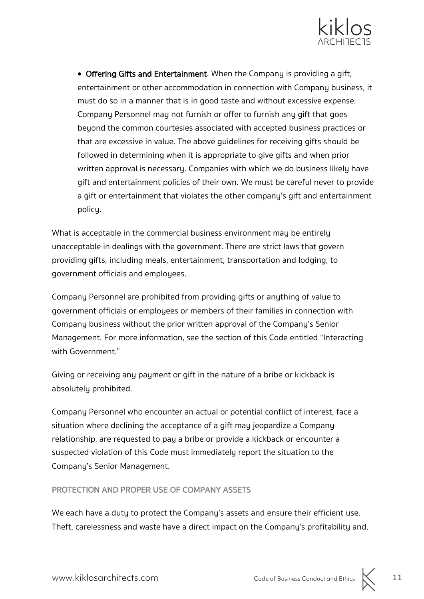

• Offering Gifts and Entertainment. When the Company is providing a gift, entertainment or other accommodation in connection with Company business, it must do so in a manner that is in good taste and without excessive expense. Company Personnel may not furnish or offer to furnish any gift that goes beyond the common courtesies associated with accepted business practices or that are excessive in value. The above guidelines for receiving gifts should be followed in determining when it is appropriate to give gifts and when prior written approval is necessary. Companies with which we do business likely have gift and entertainment policies of their own. We must be careful never to provide a gift or entertainment that violates the other company's gift and entertainment policy.

What is acceptable in the commercial business environment may be entirely unacceptable in dealings with the government. There are strict laws that govern providing gifts, including meals, entertainment, transportation and lodging, to government officials and employees.

Company Personnel are prohibited from providing gifts or anything of value to government officials or employees or members of their families in connection with Company business without the prior written approval of the Company's Senior Management. For more information, see the section of this Code entitled "Interacting with Government."

Giving or receiving any payment or gift in the nature of a bribe or kickback is absolutely prohibited.

Company Personnel who encounter an actual or potential conflict of interest, face a situation where declining the acceptance of a gift may jeopardize a Company relationship, are requested to pay a bribe or provide a kickback or encounter a suspected violation of this Code must immediately report the situation to the Company's Senior Management.

#### PROTECTION AND PROPER USE OF COMPANY ASSETS

We each have a duty to protect the Company's assets and ensure their efficient use. Theft, carelessness and waste have a direct impact on the Company's profitability and,

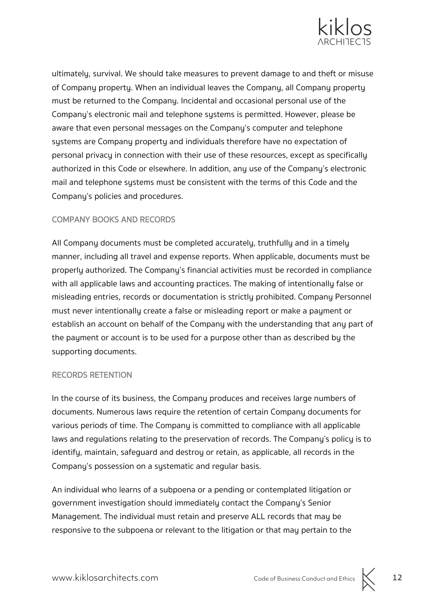

ultimately, survival. We should take measures to prevent damage to and theft or misuse of Company property. When an individual leaves the Company, all Company property must be returned to the Company. Incidental and occasional personal use of the Company's electronic mail and telephone systems is permitted. However, please be aware that even personal messages on the Company's computer and telephone systems are Company property and individuals therefore have no expectation of personal privacy in connection with their use of these resources, except as specifically authorized in this Code or elsewhere. In addition, any use of the Company's electronic mail and telephone systems must be consistent with the terms of this Code and the Company's policies and procedures.

#### COMPANY BOOKS AND RECORDS

All Company documents must be completed accurately, truthfully and in a timely manner, including all travel and expense reports. When applicable, documents must be properly authorized. The Company's financial activities must be recorded in compliance with all applicable laws and accounting practices. The making of intentionally false or misleading entries, records or documentation is strictly prohibited. Company Personnel must never intentionally create a false or misleading report or make a payment or establish an account on behalf of the Company with the understanding that any part of the payment or account is to be used for a purpose other than as described by the supporting documents.

#### RECORDS RETENTION

In the course of its business, the Company produces and receives large numbers of documents. Numerous laws require the retention of certain Company documents for various periods of time. The Company is committed to compliance with all applicable laws and regulations relating to the preservation of records. The Company's policy is to identify, maintain, safeguard and destroy or retain, as applicable, all records in the Company's possession on a systematic and regular basis.

An individual who learns of a subpoena or a pending or contemplated litigation or government investigation should immediately contact the Company's Senior Management. The individual must retain and preserve ALL records that may be responsive to the subpoena or relevant to the litigation or that may pertain to the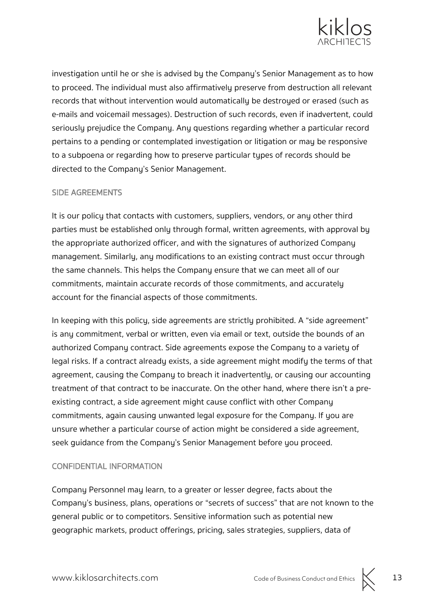

investigation until he or she is advised by the Company's Senior Management as to how to proceed. The individual must also affirmatively preserve from destruction all relevant records that without intervention would automatically be destroyed or erased (such as e-mails and voicemail messages). Destruction of such records, even if inadvertent, could seriously prejudice the Company. Any questions regarding whether a particular record pertains to a pending or contemplated investigation or litigation or may be responsive to a subpoena or regarding how to preserve particular types of records should be directed to the Company's Senior Management.

#### SIDE AGREEMENTS

It is our policy that contacts with customers, suppliers, vendors, or any other third parties must be established only through formal, written agreements, with approval by the appropriate authorized officer, and with the signatures of authorized Company management. Similarly, any modifications to an existing contract must occur through the same channels. This helps the Company ensure that we can meet all of our commitments, maintain accurate records of those commitments, and accurately account for the financial aspects of those commitments.

In keeping with this policy, side agreements are strictly prohibited. A "side agreement" is any commitment, verbal or written, even via email or text, outside the bounds of an authorized Company contract. Side agreements expose the Company to a variety of legal risks. If a contract already exists, a side agreement might modify the terms of that agreement, causing the Company to breach it inadvertently, or causing our accounting treatment of that contract to be inaccurate. On the other hand, where there isn't a preexisting contract, a side agreement might cause conflict with other Company commitments, again causing unwanted legal exposure for the Company. If you are unsure whether a particular course of action might be considered a side agreement, seek guidance from the Company's Senior Management before you proceed.

#### CONFIDENTIAL INFORMATION

Company Personnel may learn, to a greater or lesser degree, facts about the Company's business, plans, operations or "secrets of success" that are not known to the general public or to competitors. Sensitive information such as potential new geographic markets, product offerings, pricing, sales strategies, suppliers, data of

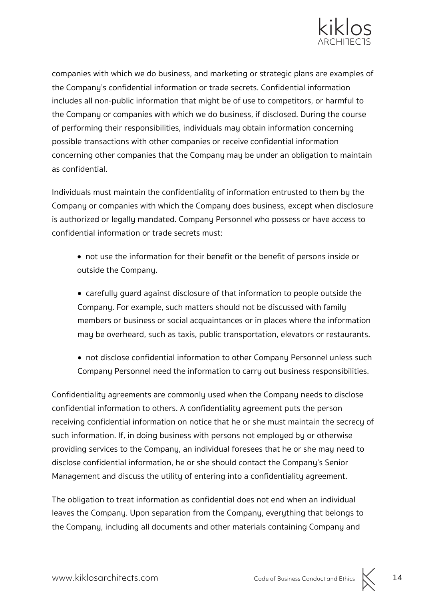

companies with which we do business, and marketing or strategic plans are examples of the Company's confidential information or trade secrets. Confidential information includes all non-public information that might be of use to competitors, or harmful to the Company or companies with which we do business, if disclosed. During the course of performing their responsibilities, individuals may obtain information concerning possible transactions with other companies or receive confidential information concerning other companies that the Company may be under an obligation to maintain as confidential.

Individuals must maintain the confidentiality of information entrusted to them by the Company or companies with which the Company does business, except when disclosure is authorized or legally mandated. Company Personnel who possess or have access to confidential information or trade secrets must:

• not use the information for their benefit or the benefit of persons inside or outside the Company.

• carefully guard against disclosure of that information to people outside the Company. For example, such matters should not be discussed with family members or business or social acquaintances or in places where the information may be overheard, such as taxis, public transportation, elevators or restaurants.

• not disclose confidential information to other Company Personnel unless such Company Personnel need the information to carry out business responsibilities.

Confidentiality agreements are commonly used when the Company needs to disclose confidential information to others. A confidentiality agreement puts the person receiving confidential information on notice that he or she must maintain the secrecy of such information. If, in doing business with persons not employed by or otherwise providing services to the Company, an individual foresees that he or she may need to disclose confidential information, he or she should contact the Company's Senior Management and discuss the utility of entering into a confidentiality agreement.

The obligation to treat information as confidential does not end when an individual leaves the Company. Upon separation from the Company, everything that belongs to the Company, including all documents and other materials containing Company and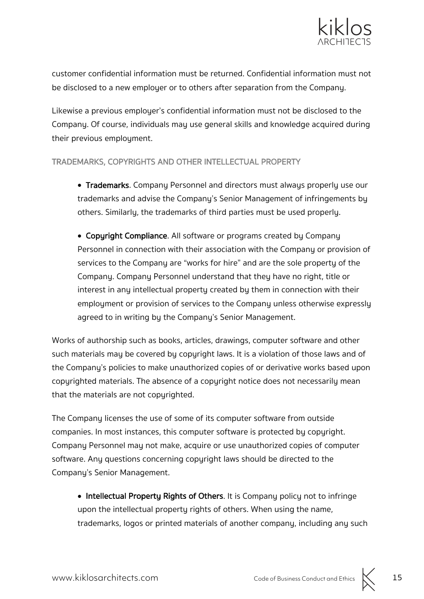

customer confidential information must be returned. Confidential information must not be disclosed to a new employer or to others after separation from the Company.

Likewise a previous employer's confidential information must not be disclosed to the Company. Of course, individuals may use general skills and knowledge acquired during their previous employment.

#### TRADEMARKS, COPYRIGHTS AND OTHER INTELLECTUAL PROPERTY

• Trademarks. Company Personnel and directors must always properly use our trademarks and advise the Company's Senior Management of infringements by others. Similarly, the trademarks of third parties must be used properly.

• Copyright Compliance. All software or programs created by Company Personnel in connection with their association with the Company or provision of services to the Company are "works for hire" and are the sole property of the Company. Company Personnel understand that they have no right, title or interest in any intellectual property created by them in connection with their employment or provision of services to the Company unless otherwise expressly agreed to in writing by the Company's Senior Management.

Works of authorship such as books, articles, drawings, computer software and other such materials may be covered by copyright laws. It is a violation of those laws and of the Company's policies to make unauthorized copies of or derivative works based upon copyrighted materials. The absence of a copyright notice does not necessarily mean that the materials are not copyrighted.

The Company licenses the use of some of its computer software from outside companies. In most instances, this computer software is protected by copyright. Company Personnel may not make, acquire or use unauthorized copies of computer software. Any questions concerning copyright laws should be directed to the Company's Senior Management.

• Intellectual Property Rights of Others. It is Company policy not to infringe upon the intellectual property rights of others. When using the name, trademarks, logos or printed materials of another company, including any such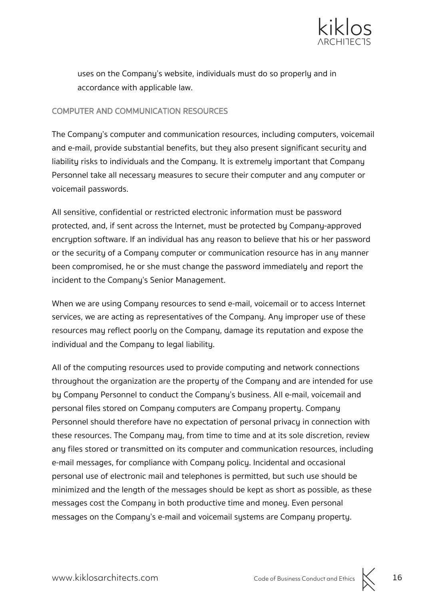

uses on the Company's website, individuals must do so properly and in accordance with applicable law.

#### COMPUTER AND COMMUNICATION RESOURCES

The Company's computer and communication resources, including computers, voicemail and e-mail, provide substantial benefits, but they also present significant security and liability risks to individuals and the Company. It is extremely important that Company Personnel take all necessary measures to secure their computer and any computer or voicemail passwords.

All sensitive, confidential or restricted electronic information must be password protected, and, if sent across the Internet, must be protected by Company-approved encryption software. If an individual has any reason to believe that his or her password or the security of a Company computer or communication resource has in any manner been compromised, he or she must change the password immediately and report the incident to the Company's Senior Management.

When we are using Company resources to send e-mail, voicemail or to access Internet services, we are acting as representatives of the Company. Any improper use of these resources may reflect poorly on the Company, damage its reputation and expose the individual and the Company to legal liability.

All of the computing resources used to provide computing and network connections throughout the organization are the property of the Company and are intended for use by Company Personnel to conduct the Company's business. All e-mail, voicemail and personal files stored on Company computers are Company property. Company Personnel should therefore have no expectation of personal privacy in connection with these resources. The Company may, from time to time and at its sole discretion, review any files stored or transmitted on its computer and communication resources, including e-mail messages, for compliance with Company policy. Incidental and occasional personal use of electronic mail and telephones is permitted, but such use should be minimized and the length of the messages should be kept as short as possible, as these messages cost the Company in both productive time and money. Even personal messages on the Company's e-mail and voicemail systems are Company property.

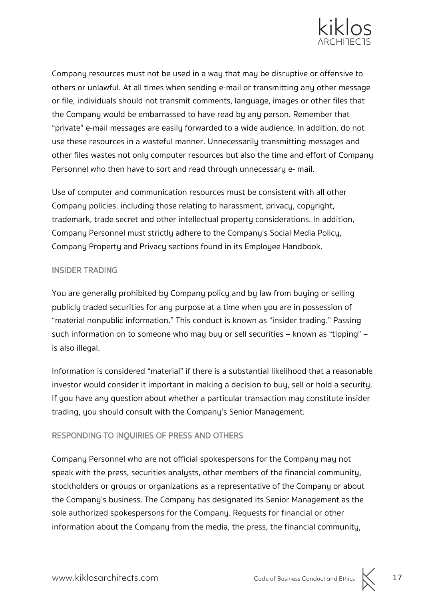

Company resources must not be used in a way that may be disruptive or offensive to others or unlawful. At all times when sending e-mail or transmitting any other message or file, individuals should not transmit comments, language, images or other files that the Company would be embarrassed to have read by any person. Remember that "private" e-mail messages are easily forwarded to a wide audience. In addition, do not use these resources in a wasteful manner. Unnecessarily transmitting messages and other files wastes not only computer resources but also the time and effort of Company Personnel who then have to sort and read through unnecessary e- mail.

Use of computer and communication resources must be consistent with all other Company policies, including those relating to harassment, privacy, copyright, trademark, trade secret and other intellectual property considerations. In addition, Company Personnel must strictly adhere to the Company's Social Media Policy, Company Property and Privacy sections found in its Employee Handbook.

#### INSIDER TRADING

You are generally prohibited by Company policy and by law from buying or selling publicly traded securities for any purpose at a time when you are in possession of "material nonpublic information." This conduct is known as "insider trading." Passing such information on to someone who may buy or sell securities – known as "tipping" – is also illegal.

Information is considered "material" if there is a substantial likelihood that a reasonable investor would consider it important in making a decision to buy, sell or hold a security. If you have any question about whether a particular transaction may constitute insider trading, you should consult with the Company's Senior Management.

#### RESPONDING TO INQUIRIES OF PRESS AND OTHERS

Company Personnel who are not official spokespersons for the Company may not speak with the press, securities analysts, other members of the financial community, stockholders or groups or organizations as a representative of the Company or about the Company's business. The Company has designated its Senior Management as the sole authorized spokespersons for the Company. Requests for financial or other information about the Company from the media, the press, the financial community,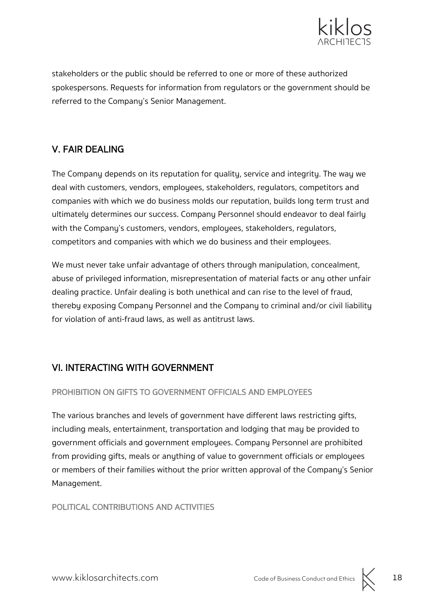

stakeholders or the public should be referred to one or more of these authorized spokespersons. Requests for information from regulators or the government should be referred to the Company's Senior Management.

### V. FAIR DEALING

The Company depends on its reputation for quality, service and integrity. The way we deal with customers, vendors, employees, stakeholders, regulators, competitors and companies with which we do business molds our reputation, builds long term trust and ultimately determines our success. Company Personnel should endeavor to deal fairly with the Company's customers, vendors, employees, stakeholders, regulators, competitors and companies with which we do business and their employees.

We must never take unfair advantage of others through manipulation, concealment, abuse of privileged information, misrepresentation of material facts or any other unfair dealing practice. Unfair dealing is both unethical and can rise to the level of fraud, thereby exposing Company Personnel and the Company to criminal and/or civil liability for violation of anti-fraud laws, as well as antitrust laws.

### VI. INTERACTING WITH GOVERNMENT

#### PROHIBITION ON GIFTS TO GOVERNMENT OFFICIALS AND EMPLOYEES

The various branches and levels of government have different laws restricting gifts, including meals, entertainment, transportation and lodging that may be provided to government officials and government employees. Company Personnel are prohibited from providing gifts, meals or anything of value to government officials or employees or members of their families without the prior written approval of the Company's Senior Management.

#### POLITICAL CONTRIBUTIONS AND ACTIVITIES

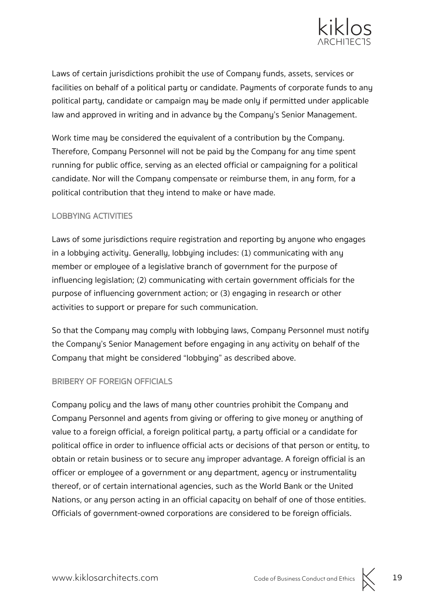

Laws of certain jurisdictions prohibit the use of Company funds, assets, services or facilities on behalf of a political party or candidate. Payments of corporate funds to any political party, candidate or campaign may be made only if permitted under applicable law and approved in writing and in advance by the Company's Senior Management.

Work time may be considered the equivalent of a contribution by the Company. Therefore, Company Personnel will not be paid by the Company for any time spent running for public office, serving as an elected official or campaigning for a political candidate. Nor will the Company compensate or reimburse them, in any form, for a political contribution that they intend to make or have made.

#### LOBBYING ACTIVITIES

Laws of some jurisdictions require registration and reporting by anyone who engages in a lobbying activity. Generally, lobbying includes: (1) communicating with any member or employee of a legislative branch of government for the purpose of influencing legislation; (2) communicating with certain government officials for the purpose of influencing government action; or (3) engaging in research or other activities to support or prepare for such communication.

So that the Company may comply with lobbying laws, Company Personnel must notify the Company's Senior Management before engaging in any activity on behalf of the Company that might be considered "lobbying" as described above.

#### BRIBERY OF FOREIGN OFFICIALS

Company policy and the laws of many other countries prohibit the Company and Company Personnel and agents from giving or offering to give money or anything of value to a foreign official, a foreign political party, a party official or a candidate for political office in order to influence official acts or decisions of that person or entity, to obtain or retain business or to secure any improper advantage. A foreign official is an officer or employee of a government or any department, agency or instrumentality thereof, or of certain international agencies, such as the World Bank or the United Nations, or any person acting in an official capacity on behalf of one of those entities. Officials of government-owned corporations are considered to be foreign officials.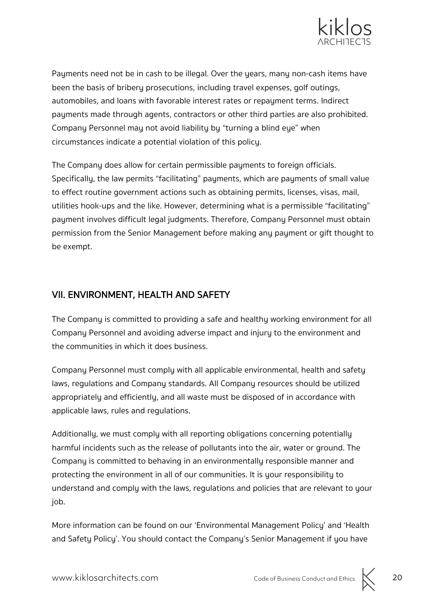

Payments need not be in cash to be illegal. Over the years, many non-cash items have been the basis of bribery prosecutions, including travel expenses, golf outings, automobiles, and loans with favorable interest rates or repayment terms. Indirect payments made through agents, contractors or other third parties are also prohibited. Company Personnel may not avoid liability by "turning a blind eye" when circumstances indicate a potential violation of this policy.

The Company does allow for certain permissible payments to foreign officials. Specifically, the law permits "facilitating" payments, which are payments of small value to effect routine government actions such as obtaining permits, licenses, visas, mail, utilities hook-ups and the like. However, determining what is a permissible "facilitating" payment involves difficult legal judgments. Therefore, Company Personnel must obtain permission from the Senior Management before making any payment or gift thought to be exempt.

### VII. ENVIRONMENT, HEALTH AND SAFETY

The Company is committed to providing a safe and healthy working environment for all Company Personnel and avoiding adverse impact and injury to the environment and the communities in which it does business.

Company Personnel must comply with all applicable environmental, health and safety laws, regulations and Company standards. All Company resources should be utilized appropriately and efficiently, and all waste must be disposed of in accordance with applicable laws, rules and regulations.

Additionally, we must comply with all reporting obligations concerning potentially harmful incidents such as the release of pollutants into the air, water or ground. The Company is committed to behaving in an environmentally responsible manner and protecting the environment in all of our communities. It is your responsibility to understand and comply with the laws, regulations and policies that are relevant to your job.

More information can be found on our 'Environmental Management Policy' and 'Health and Safety Policy'. You should contact the Company's Senior Management if you have